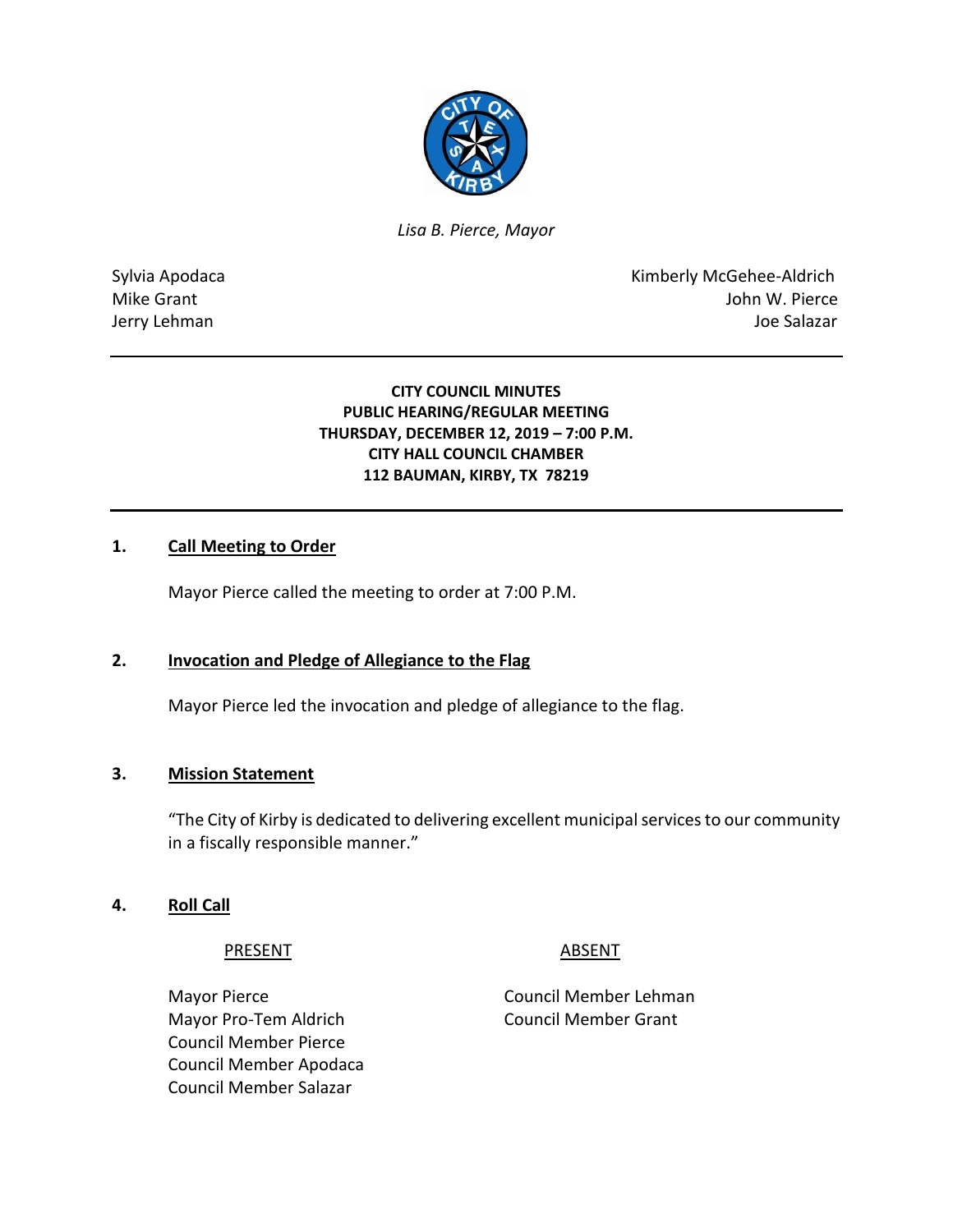

*Lisa B. Pierce, Mayor* 

Sylvia Apodaca **Kimberly McGehee-Aldrich** Mike Grant **Mike Grant** John W. Pierce Jerry Lehman Joe Salazar

## **CITY COUNCIL MINUTES PUBLIC HEARING/REGULAR MEETING THURSDAY, DECEMBER 12, 2019 – 7:00 P.M. CITY HALL COUNCIL CHAMBER 112 BAUMAN, KIRBY, TX 78219**

# **1. Call Meeting to Order**

Mayor Pierce called the meeting to order at 7:00 P.M.

# **2. Invocation and Pledge of Allegiance to the Flag**

Mayor Pierce led the invocation and pledge of allegiance to the flag.

# **3. Mission Statement**

"The City of Kirby is dedicated to delivering excellent municipal services to our community in a fiscally responsible manner."

# **4. Roll Call**

PRESENT ABSENT

Mayor Pierce **Council Member Lehman** Mayor Pro-Tem Aldrich Council Member Grant Council Member Pierce Council Member Apodaca Council Member Salazar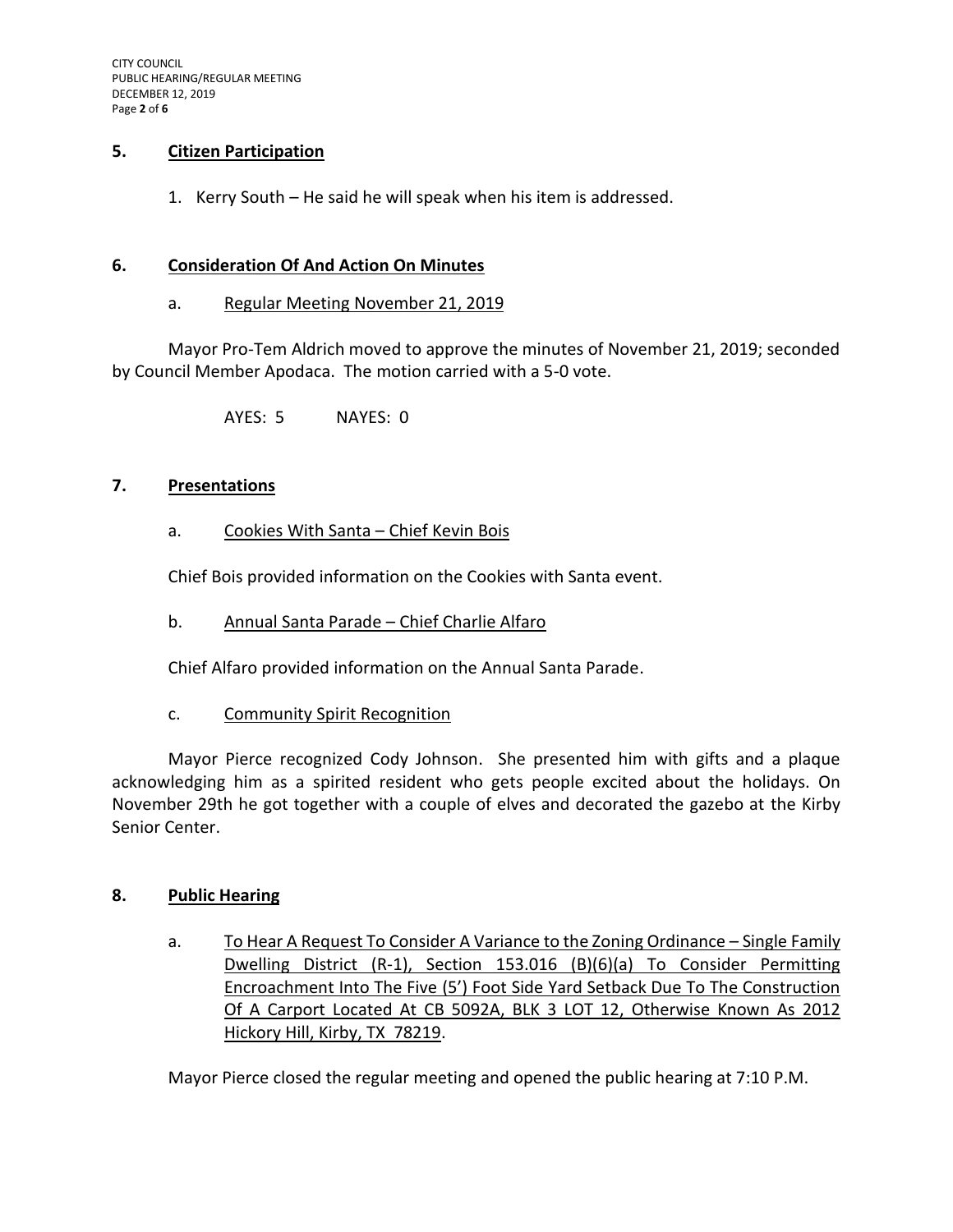# **5. Citizen Participation**

1. Kerry South – He said he will speak when his item is addressed.

#### **6. Consideration Of And Action On Minutes**

a. Regular Meeting November 21, 2019

Mayor Pro-Tem Aldrich moved to approve the minutes of November 21, 2019; seconded by Council Member Apodaca. The motion carried with a 5-0 vote.

AYES: 5 NAYES: 0

### **7. Presentations**

a. Cookies With Santa – Chief Kevin Bois

Chief Bois provided information on the Cookies with Santa event.

b. Annual Santa Parade – Chief Charlie Alfaro

Chief Alfaro provided information on the Annual Santa Parade.

c. Community Spirit Recognition

Mayor Pierce recognized Cody Johnson. She presented him with gifts and a plaque acknowledging him as a spirited resident who gets people excited about the holidays. On November 29th he got together with a couple of elves and decorated the gazebo at the Kirby Senior Center.

#### **8. Public Hearing**

a. To Hear A Request To Consider A Variance to the Zoning Ordinance – Single Family Dwelling District (R-1), Section 153.016 (B)(6)(a) To Consider Permitting Encroachment Into The Five (5') Foot Side Yard Setback Due To The Construction Of A Carport Located At CB 5092A, BLK 3 LOT 12, Otherwise Known As 2012 Hickory Hill, Kirby, TX 78219.

Mayor Pierce closed the regular meeting and opened the public hearing at 7:10 P.M.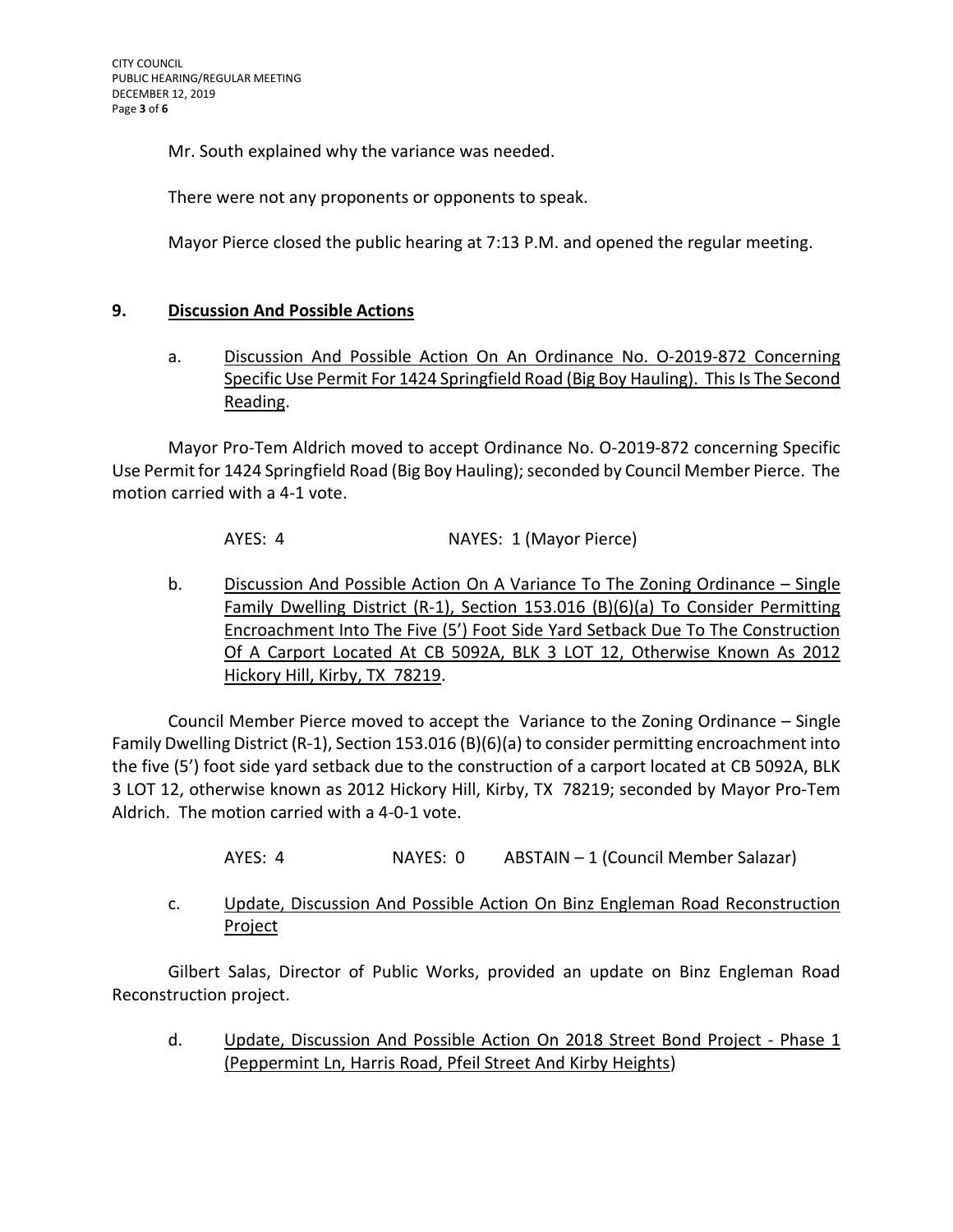Mr. South explained why the variance was needed.

There were not any proponents or opponents to speak.

Mayor Pierce closed the public hearing at 7:13 P.M. and opened the regular meeting.

### **9. Discussion And Possible Actions**

a. Discussion And Possible Action On An Ordinance No. O-2019-872 Concerning Specific Use Permit For 1424 Springfield Road (Big Boy Hauling). This Is The Second Reading.

Mayor Pro-Tem Aldrich moved to accept Ordinance No. O-2019-872 concerning Specific Use Permit for 1424 Springfield Road (Big Boy Hauling); seconded by Council Member Pierce. The motion carried with a 4-1 vote.

AYES: 4 NAYES: 1 (Mayor Pierce)

b. Discussion And Possible Action On A Variance To The Zoning Ordinance – Single Family Dwelling District (R-1), Section 153.016 (B)(6)(a) To Consider Permitting Encroachment Into The Five (5') Foot Side Yard Setback Due To The Construction Of A Carport Located At CB 5092A, BLK 3 LOT 12, Otherwise Known As 2012 Hickory Hill, Kirby, TX 78219.

Council Member Pierce moved to accept the Variance to the Zoning Ordinance – Single Family Dwelling District (R-1), Section 153.016 (B)(6)(a) to consider permitting encroachment into the five (5') foot side yard setback due to the construction of a carport located at CB 5092A, BLK 3 LOT 12, otherwise known as 2012 Hickory Hill, Kirby, TX 78219; seconded by Mayor Pro-Tem Aldrich. The motion carried with a 4-0-1 vote.

- AYES: 4 NAYES: 0 ABSTAIN 1 (Council Member Salazar)
- c. Update, Discussion And Possible Action On Binz Engleman Road Reconstruction Project

Gilbert Salas, Director of Public Works, provided an update on Binz Engleman Road Reconstruction project.

d. Update, Discussion And Possible Action On 2018 Street Bond Project - Phase 1 (Peppermint Ln, Harris Road, Pfeil Street And Kirby Heights)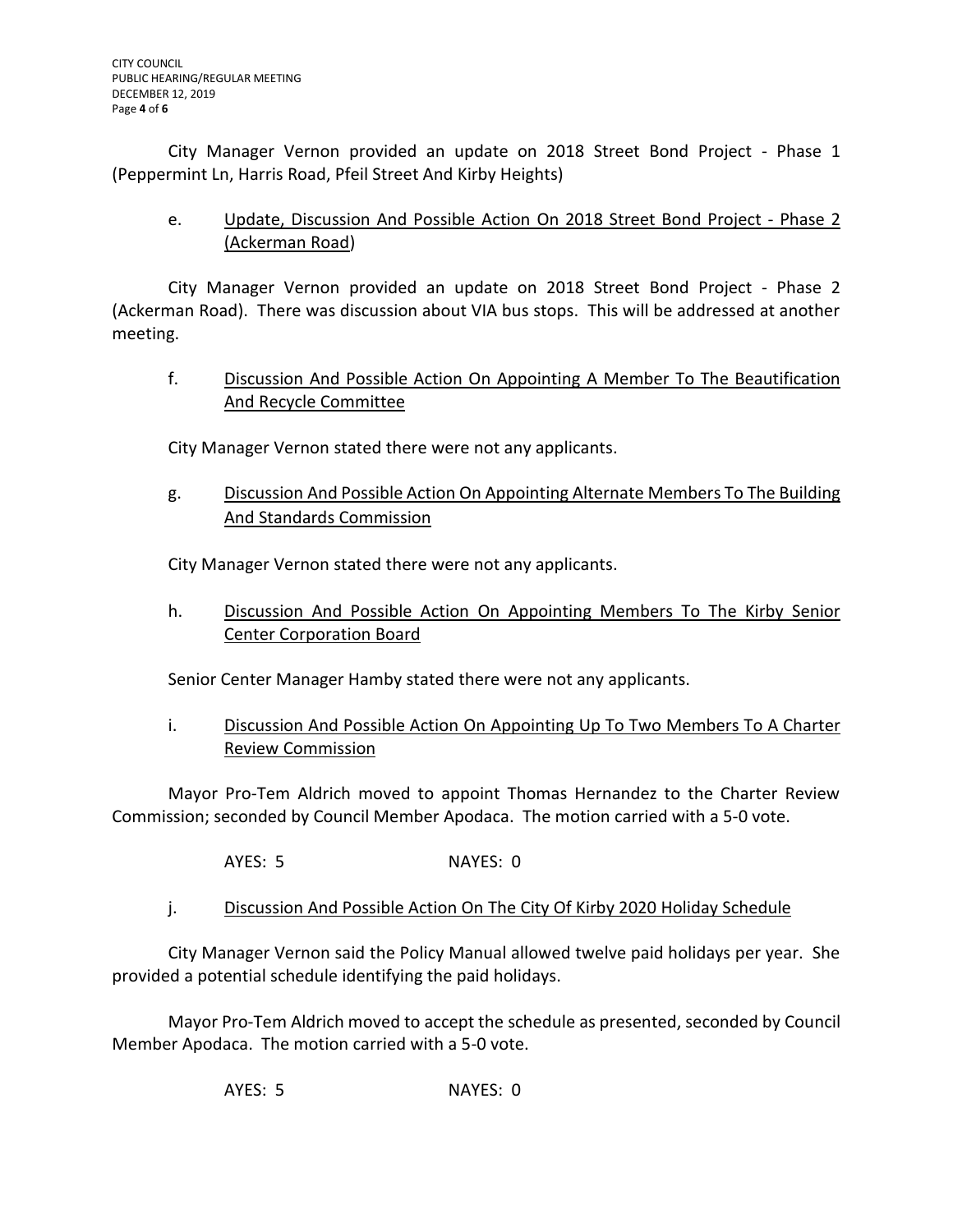City Manager Vernon provided an update on 2018 Street Bond Project - Phase 1 (Peppermint Ln, Harris Road, Pfeil Street And Kirby Heights)

e. Update, Discussion And Possible Action On 2018 Street Bond Project - Phase 2 (Ackerman Road)

City Manager Vernon provided an update on 2018 Street Bond Project - Phase 2 (Ackerman Road). There was discussion about VIA bus stops. This will be addressed at another meeting.

f. Discussion And Possible Action On Appointing A Member To The Beautification And Recycle Committee

City Manager Vernon stated there were not any applicants.

g. Discussion And Possible Action On Appointing Alternate Members To The Building And Standards Commission

City Manager Vernon stated there were not any applicants.

h. Discussion And Possible Action On Appointing Members To The Kirby Senior Center Corporation Board

Senior Center Manager Hamby stated there were not any applicants.

i. Discussion And Possible Action On Appointing Up To Two Members To A Charter Review Commission

Mayor Pro-Tem Aldrich moved to appoint Thomas Hernandez to the Charter Review Commission; seconded by Council Member Apodaca. The motion carried with a 5-0 vote.

AYES: 5 NAYES: 0

j. Discussion And Possible Action On The City Of Kirby 2020 Holiday Schedule

City Manager Vernon said the Policy Manual allowed twelve paid holidays per year. She provided a potential schedule identifying the paid holidays.

Mayor Pro-Tem Aldrich moved to accept the schedule as presented, seconded by Council Member Apodaca. The motion carried with a 5-0 vote.

AYES: 5 NAYES: 0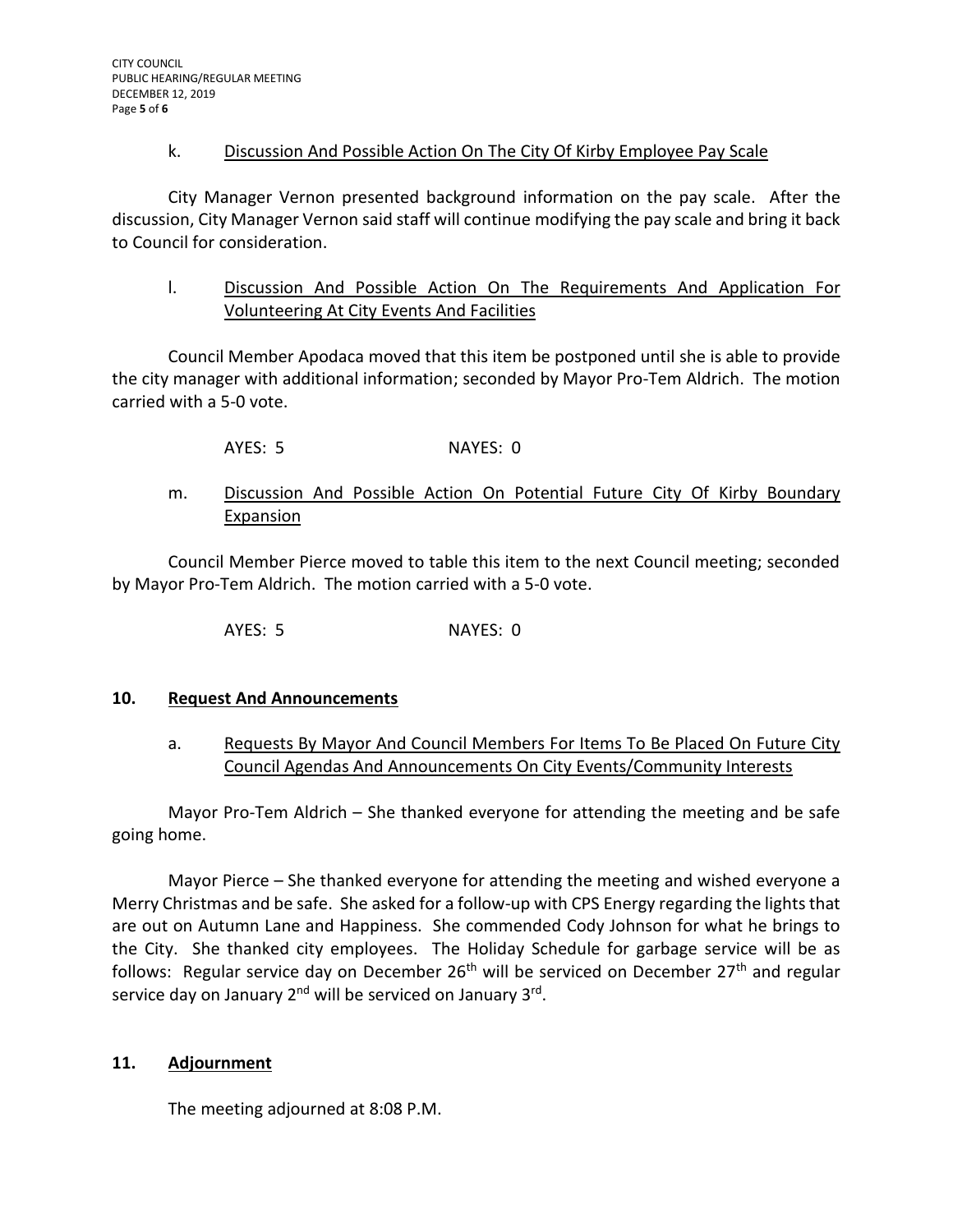# k. Discussion And Possible Action On The City Of Kirby Employee Pay Scale

City Manager Vernon presented background information on the pay scale. After the discussion, City Manager Vernon said staff will continue modifying the pay scale and bring it back to Council for consideration.

l. Discussion And Possible Action On The Requirements And Application For Volunteering At City Events And Facilities

Council Member Apodaca moved that this item be postponed until she is able to provide the city manager with additional information; seconded by Mayor Pro-Tem Aldrich. The motion carried with a 5-0 vote.

AYES: 5 NAYES: 0

# m. Discussion And Possible Action On Potential Future City Of Kirby Boundary Expansion

Council Member Pierce moved to table this item to the next Council meeting; seconded by Mayor Pro-Tem Aldrich. The motion carried with a 5-0 vote.

AYES: 5 NAYES: 0

# **10. Request And Announcements**

a. Requests By Mayor And Council Members For Items To Be Placed On Future City Council Agendas And Announcements On City Events/Community Interests

Mayor Pro-Tem Aldrich – She thanked everyone for attending the meeting and be safe going home.

Mayor Pierce – She thanked everyone for attending the meeting and wished everyone a Merry Christmas and be safe. She asked for a follow-up with CPS Energy regarding the lights that are out on Autumn Lane and Happiness. She commended Cody Johnson for what he brings to the City. She thanked city employees. The Holiday Schedule for garbage service will be as follows: Regular service day on December  $26<sup>th</sup>$  will be serviced on December  $27<sup>th</sup>$  and regular service day on January 2<sup>nd</sup> will be serviced on January 3<sup>rd</sup>.

#### **11. Adjournment**

The meeting adjourned at 8:08 P.M.